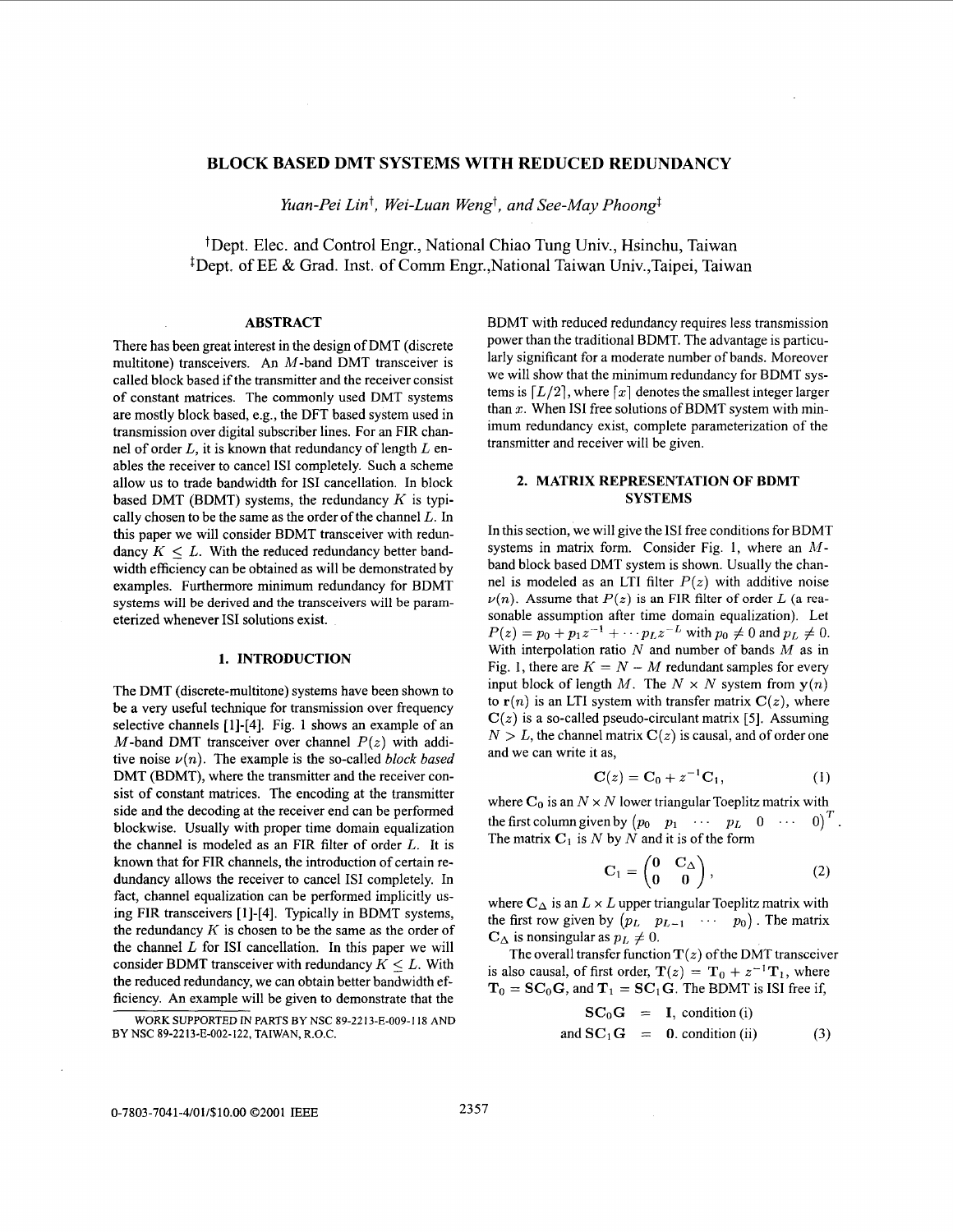# **BLOCK BASED DMT SYSTEMS WITH REDUCED REDUNDANCY**

*Yuan-Pei Lint, Wei-Luan Wengt, and See-May Phoongl* 

+Dept. Elec. and Control Engr., National Chiao Tung Univ., Hsinchu, Taiwan <sup>‡</sup>Dept. of EE & Grad. Inst. of Comm Engr., National Taiwan Univ., Taipei, Taiwan

### **ABSTRACT**

There has been great interest in the design of DMT (discrete multitone) transceivers. An M-band DMT transceiver is called block based if the transmitter and the receiver consist of constant matrices. The commonly used DMT systems are mostly block based, e.g., the DFT based system used in transmission over digital subscriber lines. For an FIR channel of order *L,* it is known that redundancy of length *L* enables the receiver to cancel **IS1** completely. Such a scheme allow us to trade bandwidth for IS1 cancellation. In block based DMT (BDMT) systems, the redundancy *K* is typically chosen to be the same as the order of the channel *L.* In this paper we will consider BDMT transceiver with redundancy  $K \leq L$ . With the reduced redundancy better bandwidth efficiency can be obtained as will be demonstrated by examples. Furthermore minimum redundancy for BDMT systems will be derived and the transceivers will be parameterized whenever **IS1** solutions exist.

### **1. INTRODUCTION**

The DMT (discrete-multitone) systems have been shown to be a very useful technique for transmission over frequency selective channels [1]-[4]. Fig. 1 shows an example of an M-band DMT transceiver over channel  $P(z)$  with additive noise  $\nu(n)$ . The example is the so-called *block based* DMT (BDMT), where the transmitter and the receiver consist **of** constant matrices. The encoding at the transmitter side and the decoding at the receiver end can be performed blockwise. Usually with proper time domain equalization the channel is modeled as an FIR filter of order *L.* It is known that for FIR channels, the introduction of certain redundancy allows the receiver to cancel IS1 completely. In fact, channel equalization can be performed implicitly using FIR transceivers [ I]-[4]. Typically in BDMT systems, the redundancy *K* is chosen to be the same as the order of the channel *L* for **IS1** cancellation. In this paper we will consider BDMT transceiver with redundancy  $K \leq L$ . With the reduced redundancy, we can obtain better bandwidth efficiency. **An** example will be given to demonstrate that the

WORK SUPPORTED IN PARTS BY NSC 89-2213-E-009-118 AND BY NSC 89-2213-E-002-122, TAIWAN, R.O.C.

BDMT with reduced redundancy requires less transmission power than the traditional BDMT. The advantage is particularly significant for a moderate number of bands. Moreover we will show that the minimum redundancy for BDMT systems is  $[L/2]$ , where  $[x]$  denotes the smallest integer larger than *x.* When IS1 free solutions of BDMT system with minimum redundancy exist, complete parameterization of the transmitter and receiver will be given.

### **2. MATRIX REPRESENTATION OF BDMT SYSTEMS**

In this section, we will give the **IS1** free conditions for BDMT systems in matrix form. Consider Fig. 1, where an *M*band block based DMT system is shown. Usually the channel is modeled as an LTI filter  $P(z)$  with additive noise  $\nu(n)$ . Assume that  $P(z)$  is an FIR filter of order *L* (a reasonable assumption after time domain equalization). Let  $P(z) = p_0 + p_1 z^{-1} + \cdots p_L z^{-L}$  with  $p_0 \neq 0$  and  $p_L \neq 0$ . With interpolation ratio *N* and number of bands *M* as in Fig. 1, there are  $K = N - M$  redundant samples for every input block of length *M*. The  $N \times N$  system from  $y(n)$ to  $r(n)$  is an LTI system with transfer matrix  $C(z)$ , where  $C(z)$  is a so-called pseudo-circulant matrix [5]. Assuming  $N > L$ , the channel matrix  $C(z)$  is causal, and of order one and we can write it as,

$$
C(z) = C_0 + z^{-1}C_1,
$$
 (1)

where  $C_0$  is an  $N \times N$  lower triangular Toeplitz matrix with the first column given by  $(p_0 \quad p_1 \quad \cdots \quad p_L \quad 0 \quad \cdots \quad 0)^T$ . The matrix  $C_1$  is *N* by *N* and it is of the form

$$
\mathbf{C}_1 = \begin{pmatrix} \mathbf{0} & \mathbf{C}_{\Delta} \\ \mathbf{0} & \mathbf{0} \end{pmatrix}, \tag{2}
$$

where  $C_{\Delta}$  is an  $L \times L$  upper triangular Toeplitz matrix with the first row given by  $(p_L \quad p_{L-1} \quad \cdots \quad p_0)$ . The matrix  $\mathbf{C}_{\Delta}$  is nonsingular as  $p_L \neq 0$ .

is also causal, of first order,  $T(z) = T_0 + z^{-1}T_1$ , where  $T_0 = SC_0G$ , and  $T_1 = SC_1G$ . The BDMT is ISI free if, The overall transfer function  $T(z)$  of the DMT transceiver

$$
SC_0G = I, condition (i)
$$
  
and 
$$
SC_1G = 0. condition (ii)
$$
 (3)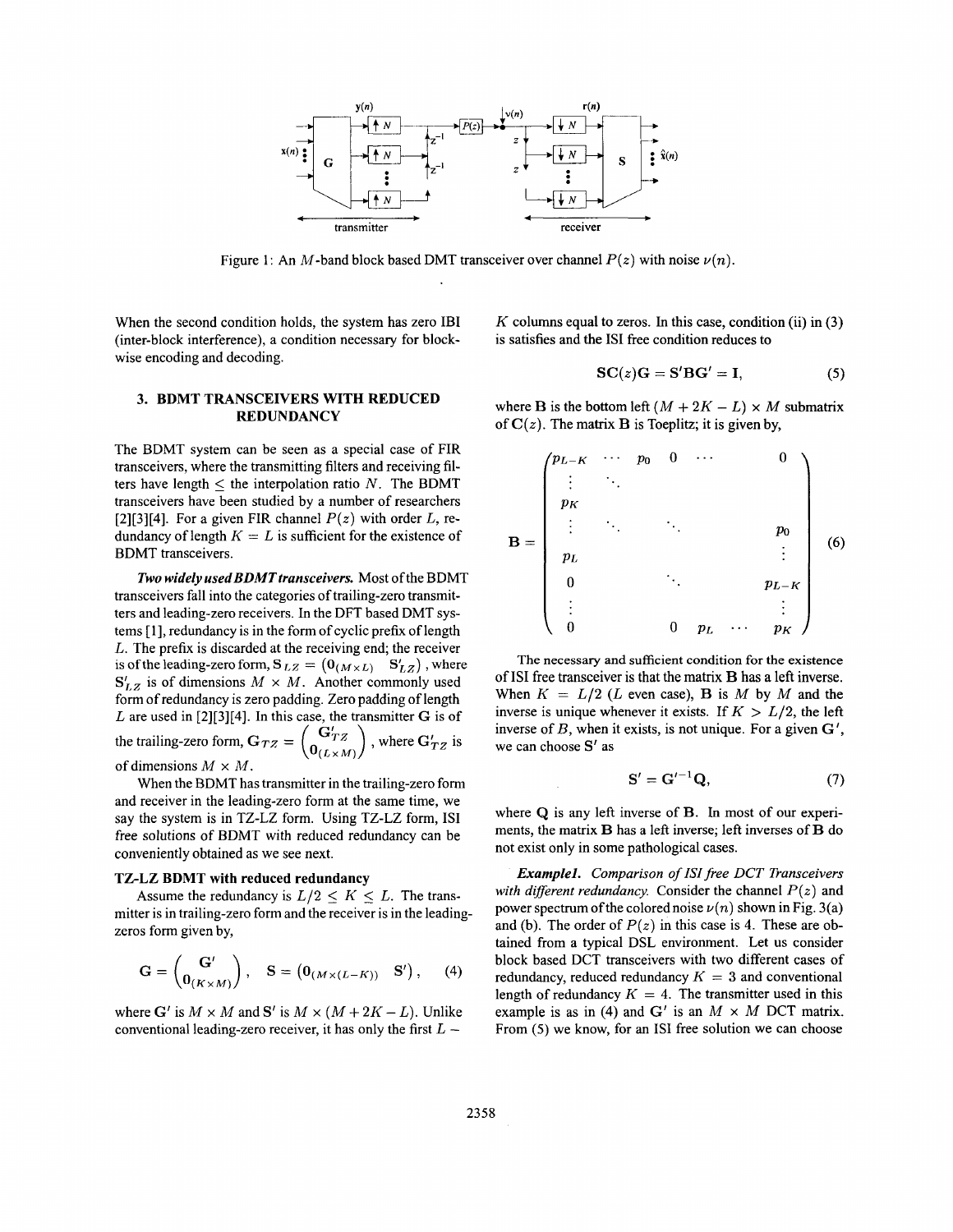

Figure 1: An M-band block based DMT transceiver over channel  $P(z)$  with noise  $\nu(n)$ .

When the second condition holds, the system has zero IBI (inter-block interference), a condition necessary for blockwise encoding and decoding.

*K* columns equal to zeros. In this case, condition (ii) in **(3)**  is satisfies and the IS1 free condition reduces to

$$
SC(z)G = S'BG' = I,
$$
 (5)

## **3. BDMT TRANSCEIVERS WITH REDUCED REDUNDANCY**

The BDMT system can be seen as a special case of FIR transceivers, where the transmitting filters and receiving filters have length  $\leq$  the interpolation ratio *N*. The BDMT transceivers have been studied by a number of researchers [2][3][4]. For a given FIR channel  $P(z)$  with order  $L$ , redundancy of length  $K = L$  is sufficient for the existence of BDMT transceivers.

**Two widely used BDMT transceivers.** Most of the BDMT transceivers fall into the categories of trailing-zero transmitters and leading-zero receivers. In the DFT based DMT systems [ 11, redundancy is in the form of cyclic prefix of length *L.* The prefix is discarded at the receiving end; the receiver is of the leading-zero form,  $S_{LZ} = (0_{(M \times L)} S'_{LZ})$ , where  $S'_{LZ}$  is of dimensions  $M \times M$ . Another commonly used form of redundancy is zero padding. Zero padding of length *L* are used in [2][3][4]. In this case, the transmitter *G* is of the trailing-zero form,  $G_{TZ} = \begin{pmatrix} G'_{TZ} \\ 0 & G'_{YZ} \end{pmatrix}$ , where  $G'_{TZ}$  is of dimensions  $M \times M$ .

When the BDMT has transmitter in the trailing-zero form and receiver in the leading-zero form at the same time, we say the system is in TZ-LZ form. Using TZ-LZ form, IS1 free solutions of BDMT with reduced redundancy can be conveniently obtained as we see next.

#### **TZ-LZ BDMT with reduced redundancy**

Assume the redundancy is  $L/2 \le K \le L$ . The transmitter is in trailing-zero form and the receiver is in the leadingzeros form given by,

$$
\mathbf{G} = \begin{pmatrix} \mathbf{G}' \\ \mathbf{0}_{(K \times M)} \end{pmatrix}, \quad \mathbf{S} = \begin{pmatrix} \mathbf{0}_{(M \times (L-K))} & \mathbf{S}' \end{pmatrix}, \quad (4)
$$

where *G'* is  $M \times M$  and *S'* is  $M \times (M + 2K - L)$ . Unlike conventional leading-zero receiver, it has only the first *<sup>L</sup>*-

where **B** is the bottom left  $(M + 2K - L) \times M$  submatrix of  $C(z)$ . The matrix **B** is Toeplitz; it is given by,

$$
\mathbf{B} = \begin{pmatrix} p_{L-K} & \cdots & p_0 & 0 & \cdots & & 0 \\ \vdots & \ddots & & & & & \\ p_K & & & & & & \\ p_L & & & & & & & \\ p_L & & & & & & & \\ 0 & & & & & & & \\ \vdots & & & & & & & \\ 0 & & & & & & & \\ \vdots & & & & & & & \\ 0 & & & & & & & p_L - K \\ \vdots & & & & & & & \\ 0 & & & & & & & p_L \end{pmatrix} \quad (6)
$$

The necessary and sufficient condition **for** the existence of **IS1** free transceiver is that the matrix **B has** a left inverse. When  $K = L/2$  (L even case), **B** is M by M and the inverse is unique whenever it exists. If  $K > L/2$ , the left inverse of *B,* when it exists, is not unique. For a given *G',*  we can choose *Sf* as

$$
\mathbf{S}' = \mathbf{G}'^{-1} \mathbf{Q},\tag{7}
$$

where **Q** is any left inverse of B. In most of our experiments, the matrix **B** has a left inverse; left inverses of B do not exist only in some pathological cases.

*Examplel. Comparison of ISI free DCT Transceivers with different redundancy.* Consider the channel  $P(z)$  and power spectrum of the colored noise  $\nu(n)$  shown in Fig. 3(a) and (b). The order of  $P(z)$  in this case is 4. These are obtained from a typical DSL environment. Let **us** consider block based DCT transceivers with two different cases of redundancy, reduced redundancy  $K = 3$  and conventional length of redundancy  $K = 4$ . The transmitter used in this example is as in (4) and  $G'$  is an  $M \times M$  DCT matrix. From (5) we know, for an IS1 free solution we can choose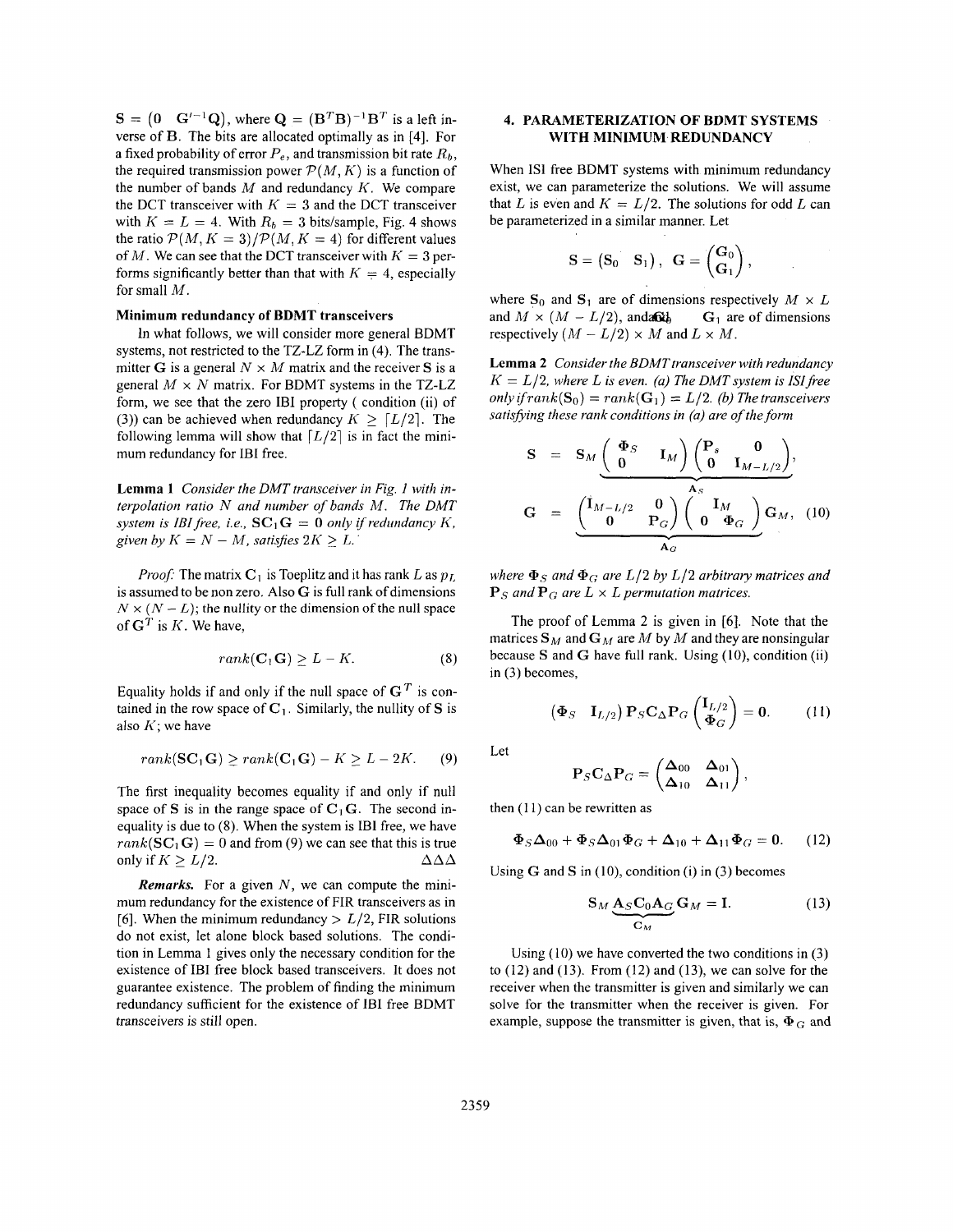$S = \begin{pmatrix} 0 & G'^{-1}Q \end{pmatrix}$ , where  $Q = (B^T B)^{-1} B^T$  is a left inverse of **B.** The bits are allocated optimally as in [4]. For a fixed probability of error  $P_e$ , and transmission bit rate  $R_b$ , the required transmission power  $P(M, K)$  is a function of the number of bands  $M$  and redundancy  $K$ . We compare the DCT transceiver with  $K = 3$  and the DCT transceiver with  $K = L = 4$ . With  $R_b = 3$  bits/sample, Fig. 4 shows the ratio  $P(M, K = 3)/P(M, K = 4)$  for different values of *M*. We can see that the DCT transceiver with  $K = 3$  performs significantly better than that with  $K = 4$ , especially for small M.

### **Minimum redundancy of BDMT transceivers**

In what follows, we will consider more general BDMT systems, not restricted to the TZ-LZ form in (4). The transmitter G is a general  $N \times M$  matrix and the receiver S is a general  $M \times N$  matrix. For BDMT systems in the TZ-LZ form, we see that the zero IBI property ( condition (ii) of (3)) can be achieved when redundancy  $K > [L/2]$ . The following lemma will show that  $[L/2]$  is in fact the minimum redundancy for IBI free.

**Lemma 1** *Consider the DMT transceiver in Fig. 1 with interpolation ratio N and number of bands* M. *The DMT system is IBI free, i.e.,*  $SC_1G = 0$  *only if redundancy K, given by*  $K = N - M$ *, satisfies*  $2K \geq L$ .

*Proof:* The matrix  $C_1$  is Toeplitz and it has rank L as  $p_L$ is assumed to be non zero. Also *G* is full rank of dimensions  $N \times (N - L)$ ; the nullity or the dimension of the null space of  $G<sup>T</sup>$  is *K*. We have,

$$
rank(\mathbf{C}_1 \mathbf{G}) \ge L - K. \tag{8}
$$

Equality holds if and only if the null space of  $G<sup>T</sup>$  is contained in the row space of  $C_1$ . Similarly, the nullity of S is also  $K$ ; we have

$$
rank(\mathbf{SC}_1\mathbf{G}) \ge rank(\mathbf{C}_1\mathbf{G}) - K \ge L - 2K.
$$
 (9)

The first inequality becomes equality if and only if null space of S is in the range space of  $C_1$ **G**. The second inequality is due to **(8).** When the system is IBI free, we have  $rank(\mathbf{SC}_1 \mathbf{G}) = 0$  and from (9) we can see that this is true only if  $K > L/2$ .  $\Delta \Delta \Delta$ 

*Remarks.* For a given *N,* we can compute the minimum redundancy for the existence of FIR transceivers as in [6]. When the minimum redundancy  $> L/2$ , FIR solutions do not exist, let alone block based solutions. The condition in Lemma 1 gives only the necessary condition for the existence of IBI free block based transceivers. It does not guarantee existence. The problem of finding the minimum redundancy sufficient for the existence of 1BI free BDMT transceivers is still open.

### **4. PARAMETERIZATION OF BDMT SYSTEMS WITH MINIMUM REDUNDANCY**

When **IS1** free BDMT systems with minimum redundancy exist, we can parameterize the solutions. We will assume that *L* is even and  $K = L/2$ . The solutions for odd *L* can be parameterized in a similar manner. Let

$$
\mathbf{S}=\begin{pmatrix} \mathbf{S}_0 & \mathbf{S}_1 \end{pmatrix}, \ \ \mathbf{G}=\begin{pmatrix} \mathbf{G}_0 \\ \mathbf{G}_1 \end{pmatrix},
$$

where  $\mathbf{S}_0$  and  $\mathbf{S}_1$  are of dimensions respectively  $M \times L$ and  $M \times (M - L/2)$ , anda **G**<sub>*d*</sub> **G**<sub>1</sub> are of dimensions respectively  $(M - L/2) \times M$  and  $L \times M$ .

**Lemma 2** Consider the BDMT transceiver with redundancy  $K = L/2$ , where L is even. (a) The DMT system is ISI free  $only if rank(S_0) = rank(G_1) = L/2.$  *(b) The transceivers satisfjiing these rank conditions in (a) are of the form* 

$$
S = S_M \underbrace{\begin{pmatrix} \Phi_S & I_M \end{pmatrix} \begin{pmatrix} P_s & 0 \\ 0 & I_{M-L/2} \end{pmatrix}}_{A_S},
$$
  

$$
G = \underbrace{\begin{pmatrix} I_{M-L/2} & 0 \\ 0 & P_G \end{pmatrix} \begin{pmatrix} I_M \\ 0 & \Phi_G \end{pmatrix}}_{A_G} G_M, (10)
$$

*where*  $\Phi_S$  *and*  $\Phi_G$  *are L/2 by L/2 arbitrary matrices and*  $\mathbf{P}_S$  and  $\mathbf{P}_G$  are  $L \times L$  permutation matrices.

The proof of Lemma 2 is given in **[6].** Note that the matrices  $S_M$  and  $G_M$  are  $M$  by  $M$  and they are nonsingular because S and G have full rank. Using (10), condition (ii) in (3) becomes,

$$
\begin{pmatrix} \Phi_S & \mathbf{I}_{L/2} \end{pmatrix} \mathbf{P}_S \mathbf{C}_{\Delta} \mathbf{P}_G \begin{pmatrix} \mathbf{I}_{L/2} \\ \Phi_G \end{pmatrix} = \mathbf{0}.
$$
 (11)

Let

$$
\mathbf{P}_S \mathbf{C}_{\Delta} \mathbf{P}_G = \begin{pmatrix} \mathbf{\Delta}_{00} & \mathbf{\Delta}_{01} \\ \mathbf{\Delta}_{10} & \mathbf{\Delta}_{11} \end{pmatrix},
$$

then  $(11)$  can be rewritten as

$$
\Phi_S \Delta_{00} + \Phi_S \Delta_{01} \Phi_G + \Delta_{10} + \Delta_{11} \Phi_G = 0. \tag{12}
$$

Using  $G$  and  $S$  in (10), condition (i) in (3) becomes

$$
S_M \underbrace{A_S C_0 A_G}_{C_M} G_M = I. \tag{13}
$$

Using (IO) we have converted the two conditions in (3) to  $(12)$  and  $(13)$ . From  $(12)$  and  $(13)$ , we can solve for the receiver when the transmitter is given and similarly we can solve for the transmitter when the receiver is given. For example, suppose the transmitter is given, that is,  $\Phi_G$  and